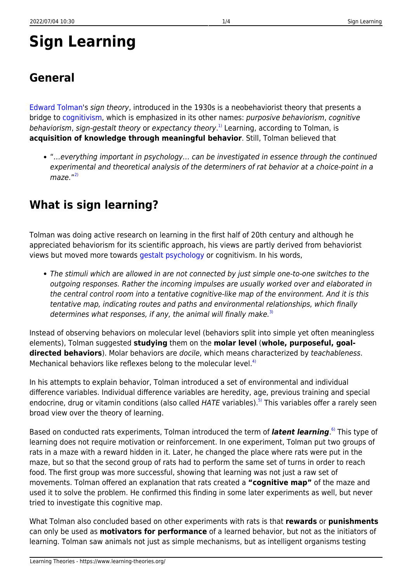# **Sign Learning**

# **General**

[Edward Tolman](http://www.muskingum.edu/~psych/psycweb/history/tolman.htm)'s sign theory, introduced in the 1930s is a neobehaviorist theory that presents a bridge to [cognitivism](https://www.learning-theories.org/doku.php?id=learning_paradigms:cognitivism), which is emphasized in its other names: purposive behaviorism, cognitive behaviorism, sign-gestalt theory or expectancy theory.<sup>[1\)](#page--1-0)</sup> Learning, according to Tolman, is **acquisition of knowledge through meaningful behavior**. Still, Tolman believed that

"…everything important in psychology… can be investigated in essence through the continued experimental and theoretical analysis of the determiners of rat behavior at a choice-point in a maze."<sup>[2\)](#page--1-0)</sup>

# **What is sign learning?**

Tolman was doing active research on learning in the first half of 20th century and although he appreciated behaviorism for its scientific approach, his views are partly derived from behaviorist views but moved more towards [gestalt psychology](https://www.learning-theories.org/doku.php?id=learning_theories:gestalt_psychology) or cognitivism. In his words,

The stimuli which are allowed in are not connected by just simple one-to-one switches to the outgoing responses. Rather the incoming impulses are usually worked over and elaborated in the central control room into a tentative cognitive-like map of the environment. And it is this tentative map, indicating routes and paths and environmental relationships, which finally determines what responses, if any, the animal will finally make.<sup>[3\)](#page--1-0)</sup>

Instead of observing behaviors on molecular level (behaviors split into simple yet often meaningless elements), Tolman suggested **studying** them on the **molar level** (**whole, purposeful, goaldirected behaviors**). Molar behaviors are docile, which means characterized by teachableness. Mechanical behaviors like reflexes belong to the molecular level.<sup>[4\)](#page--1-0)</sup>

In his attempts to explain behavior, Tolman introduced a set of environmental and individual difference variables. Individual difference variables are heredity, age, previous training and special endocrine, drug or vitamin conditions (also called HATE variables).<sup>[5\)](#page--1-0)</sup> This variables offer a rarely seen broad view over the theory of learning.

Based on conducted rats experiments, Tolman introduced the term of *latent learning*.<sup>6</sup> This type of learning does not require motivation or reinforcement. In one experiment, Tolman put two groups of rats in a maze with a reward hidden in it. Later, he changed the place where rats were put in the maze, but so that the second group of rats had to perform the same set of turns in order to reach food. The first group was more successful, showing that learning was not just a raw set of movements. Tolman offered an explanation that rats created a **"cognitive map"** of the maze and used it to solve the problem. He confirmed this finding in some later experiments as well, but never tried to investigate this cognitive map.

What Tolman also concluded based on other experiments with rats is that **rewards** or **punishments** can only be used as **motivators for performance** of a learned behavior, but not as the initiators of learning. Tolman saw animals not just as simple mechanisms, but as intelligent organisms testing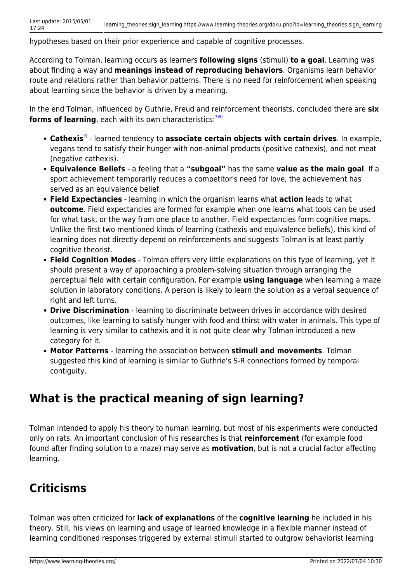hypotheses based on their prior experience and capable of cognitive processes.

According to Tolman, learning occurs as learners **following signs** (stimuli) **to a goal**. Learning was about finding a way and **meanings instead of reproducing behaviors**. Organisms learn behavior route and relations rather than behavior patterns. There is no need for reinforcement when speaking about learning since the behavior is driven by a meaning.

In the end Tolman, influenced by Guthrie, Freud and reinforcement theorists, concluded there are **six** forms of learning, each with its own characteristics:<sup>[7\)8\)](#page--1-0)</sup>

- **Cathexis**[9\)](#page--1-0) learned tendency to **associate certain objects with certain drives**. In example, vegans tend to satisfy their hunger with non-animal products (positive cathexis), and not meat (negative cathexis).
- **Equivalence Beliefs** a feeling that a **"subgoal"** has the same **value as the main goal**. If a sport achievement temporarily reduces a competitor's need for love, the achievement has served as an equivalence belief.
- **Field Expectancies** learning in which the organism learns what **action** leads to what **outcome**. Field expectancies are formed for example when one learns what tools can be used for what task, or the way from one place to another. Field expectancies form cognitive maps. Unlike the first two mentioned kinds of learning (cathexis and equivalence beliefs), this kind of learning does not directly depend on reinforcements and suggests Tolman is at least partly cognitive theorist.
- **Field Cognition Modes** Tolman offers very little explanations on this type of learning, yet it should present a way of approaching a problem-solving situation through arranging the perceptual field with certain configuration. For example **using language** when learning a maze solution in laboratory conditions. A person is likely to learn the solution as a verbal sequence of right and left turns.
- **Drive Discrimination** learning to discriminate between drives in accordance with desired outcomes, like learning to satisfy hunger with food and thirst with water in animals. This type of learning is very similar to cathexis and it is not quite clear why Tolman introduced a new category for it.
- **Motor Patterns** learning the association between **stimuli and movements**. Tolman suggested this kind of learning is similar to Guthrie's S-R connections formed by temporal contiguity.

### **What is the practical meaning of sign learning?**

Tolman intended to apply his theory to human learning, but most of his experiments were conducted only on rats. An important conclusion of his researches is that **reinforcement** (for example food found after finding solution to a maze) may serve as **motivation**, but is not a crucial factor affecting learning.

## **Criticisms**

Tolman was often criticized for **lack of explanations** of the **cognitive learning** he included in his theory. Still, his views on learning and usage of learned knowledge in a flexible manner instead of learning conditioned responses triggered by external stimuli started to outgrow behaviorist learning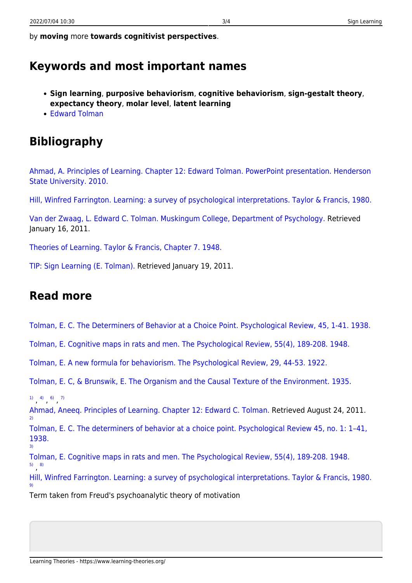by **moving** more **towards cognitivist perspectives**.

### **Keywords and most important names**

- **Sign learning**, **purposive behaviorism**, **cognitive behaviorism**, **sign-gestalt theory**, **expectancy theory**, **molar level**, **latent learning**
- [Edward Tolman](http://www.muskingum.edu/~psych/psycweb/history/tolman.htm)

## **Bibliography**

[Ahmad, A. Principles of Learning. Chapter 12: Edward Tolman. PowerPoint presentation. Henderson](http://fac.hsu.edu/ahmada/3%20Courses/2%20Learning/Learning%20Notes/9%20Tolman.pdf) [State University. 2010.](http://fac.hsu.edu/ahmada/3%20Courses/2%20Learning/Learning%20Notes/9%20Tolman.pdf)

[Hill, Winfred Farrington. Learning: a survey of psychological interpretations. Taylor & Francis, 1980.](http://books.google.hr/books?id=QTwOAAAAQAAJ&pg=PA142&lpg=PA142&dq=Sign+Learning++Field+Cognition+Modes&source=bl&ots=yEGFOzBqbm&sig=bwNS5ZInKDEPBNGBw3ek0mXHp0g&hl=hr&ei=EwF1TaC8NdOzhAe_5YlO&sa=X&oi=book_result&ct=result&resnum=2&ved=0CCgQ6AEwAQ#v=onepage&q=Sign%20Learning%20%20Field%20Cognition%20Modes&f=false)

[Van der Zwaag, L. Edward C. Tolman. Muskingum College, Department of Psychology.](http://www.muskingum.edu/~psych/psycweb/history/tolman.htm) Retrieved January 16, 2011.

[Theories of Learning. Taylor & Francis, Chapter 7. 1948.](http://people.emich.edu/jtodd/tolman.pdf)

[TIP: Sign Learning \(E. Tolman\).](http://tip.psychology.org/tolman.html) Retrieved January 19, 2011.

#### **Read more**

[Tolman, E. C. The Determiners of Behavior at a Choice Point. Psychological Review, 45, 1-41. 1938.](http://wexler.free.fr/library/files/tolman (1938) the determiners of behavior at a choice-point.pdf)

[Tolman, E. Cognitive maps in rats and men. The Psychological Review, 55\(4\), 189-208. 1948.](http://psychclassics.yorku.ca/Tolman/Maps/maps.htm)

[Tolman, E. A new formula for behaviorism. The Psychological Review, 29, 44-53. 1922.](http://psychclassics.yorku.ca/Tolman/formula.htm)

[Tolman, E. C, & Brunswik, E. The Organism and the Causal Texture of the Environment. 1935.](http://wexler.free.fr/library/files/tolman (1935) the organism and the causal texture of the environment.pdf)

 $\begin{pmatrix} 1 & 4 & 6 \end{pmatrix}$  ([6\)](#page--1-0) ([7\)](#page--1-0)

[9\)](#page--1-0)

[Ahmad, Aneeq. Principles of Learning. Chapter 12: Edward C. Tolman.](http://fac.hsu.edu/ahmada/3%20Courses/2%20Learning/Learning%20Notes/9%20Tolman.pdf) Retrieved August 24, 2011. [2\)](#page--1-0)

[Tolman, E. C. The determiners of behavior at a choice point. Psychological Review 45, no. 1: 1–41,](http://wexler.free.fr/library/files/tolman%20%281938%29%20the%20determiners%20of%20behavior%20at%20a%20choice-point.pdf) [1938.](http://wexler.free.fr/library/files/tolman%20%281938%29%20the%20determiners%20of%20behavior%20at%20a%20choice-point.pdf) [3\)](#page--1-0)

[Tolman, E. Cognitive maps in rats and men. The Psychological Review, 55\(4\), 189-208. 1948.](http://psychclassics.yorku.ca/Tolman/Maps/maps.htm) [5\)](#page--1-0) , [8\)](#page--1-0)

[Hill, Winfred Farrington. Learning: a survey of psychological interpretations. Taylor & Francis, 1980.](http://books.google.com/books?id=QTwOAAAAQAAJ)

Term taken from Freud's psychoanalytic theory of motivation